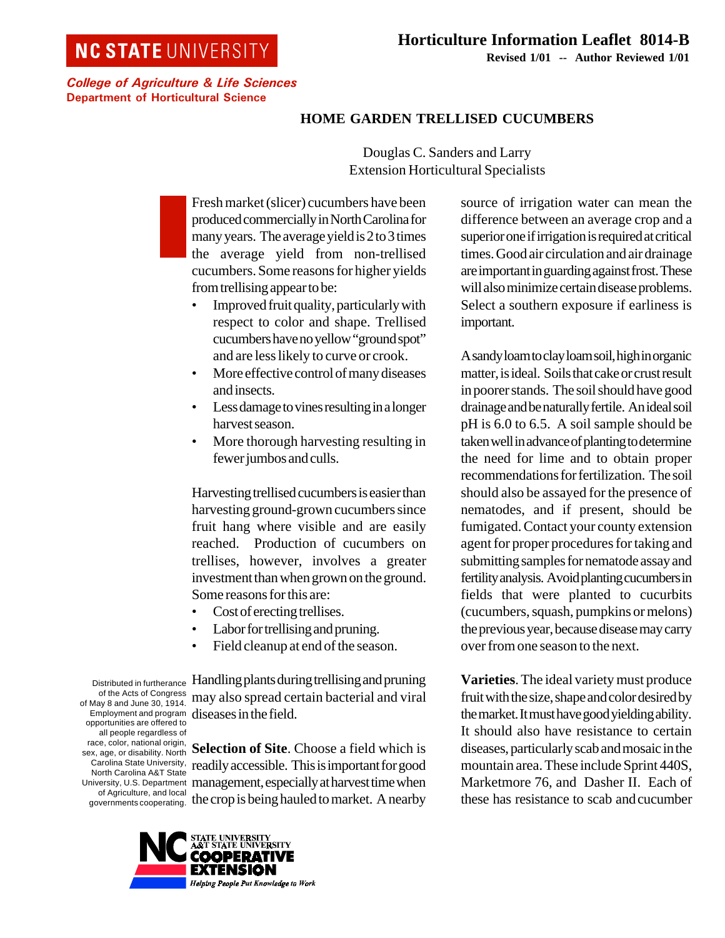## **NC STATE UNIVERSITY**

College of Agriculture & Life Sciences Department of Horticultural Science

## **HOME GARDEN TRELLISED CUCUMBERS**

Douglas C. Sanders and Larry Extension Horticultural Specialists

Fresh market (slicer) cucumbers have been produced commercially in North Carolina for many years. The average yield is 2 to 3 times the average yield from non-trellised cucumbers. Some reasons for higher yields from trellising appear to be:

- Improved fruit quality, particularly with respect to color and shape. Trellised cucumbers have no yellow "ground spot" and are less likely to curve or crook.
- More effective control of many diseases and insects.
- Less damage to vines resulting in a longer harvest season.
- More thorough harvesting resulting in fewer jumbos and culls.

Harvesting trellised cucumbers is easier than harvesting ground-grown cucumbers since fruit hang where visible and are easily reached. Production of cucumbers on trellises, however, involves a greater investment than when grown on the ground. Some reasons for this are:

- Cost of erecting trellises.
- Labor for trellising and pruning.
- Field cleanup at end of the season.

Distributed in furtherance of the Acts of Congress of May 8 and June 30, 1914. Employment and program opportunities are offered to all people regardless of race, color, national origin, sex, age, or disability. North Carolina State University, North Carolina A&T State University, U.S. Department of Agriculture, and local governments cooperating.

Handling plants during trellising and pruning may also spread certain bacterial and viral diseases in the field.

**Selection of Site**. Choose a field which is readily accessible. This is important for good management, especially at harvest time when the crop is being hauled to market. A nearby



source of irrigation water can mean the difference between an average crop and a superior one if irrigation is required at critical times. Good air circulation and air drainage are important in guarding against frost. These will also minimize certain disease problems. Select a southern exposure if earliness is important.

A sandy loam to clay loam soil, high in organic matter, is ideal. Soils that cake or crust result in poorer stands. The soil should have good drainage and be naturally fertile. An ideal soil pH is 6.0 to 6.5. A soil sample should be taken well in advance of planting to determine the need for lime and to obtain proper recommendations for fertilization. The soil should also be assayed for the presence of nematodes, and if present, should be fumigated. Contact your county extension agent for proper procedures for taking and submitting samples for nematode assay and fertility analysis. Avoid planting cucumbers in fields that were planted to cucurbits (cucumbers, squash, pumpkins or melons) the previous year, because disease may carry over from one season to the next.

**Varieties**. The ideal variety must produce fruit with the size, shape and color desired by the market. It must have good yielding ability. It should also have resistance to certain diseases, particularly scab and mosaic in the mountain area. These include Sprint 440S, Marketmore 76, and Dasher II. Each of these has resistance to scab and cucumber